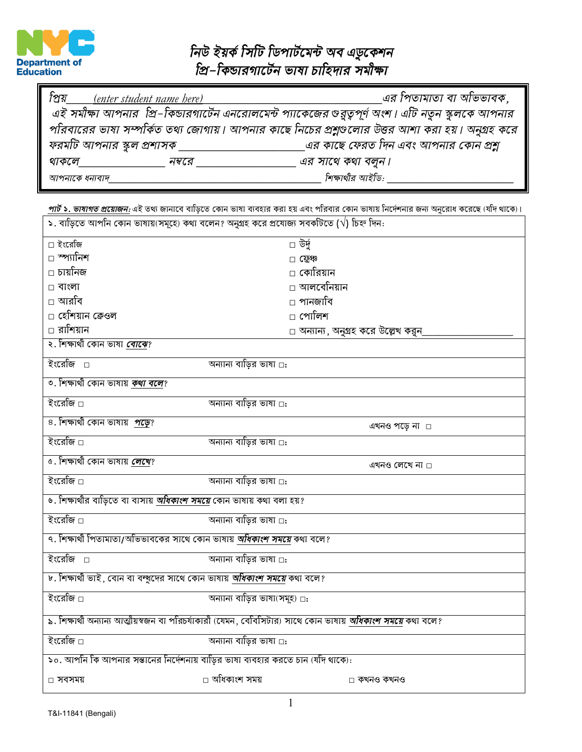

## নিউ ইয়র্ক সিটি ডিপার্টমেন্ট অব এডুকেশন<br>প্রি–কিন্ডারগার্টেন ভাষা চাহিদার সমীক্ষা

| প্রিয়<br><i>(enter student name here)</i>                                                          |                             | ্এর পিতামাতা বা অভিভাবক,               |  |  |
|-----------------------------------------------------------------------------------------------------|-----------------------------|----------------------------------------|--|--|
| এই সমীক্ষা আপনার  প্রি–কিন্ডারগার্টেন এনরোলমেন্ট প্যাকেজের গুরুত্বপূর্ণ অংশ। এটি নতুন স্কুলকে আপনার |                             |                                        |  |  |
| পরিবারের ভাষা সম্পর্কিত তথ্য জোগায়। আপনার কাছে নিচের প্রশ্নুণ্ডলোর উত্তর আশা করা হয়। অনুগ্রহ করে  |                             |                                        |  |  |
| ফরমটি আপনার স্কুল প্রশাসক্                                                                          |                             | ্এর কাছে ফেরত দিন এবং আপনার কোন প্রশ্ন |  |  |
| থাকলে                                                                                               | এর সাথে কথা বলুন।<br>নম্বরে |                                        |  |  |
| আপনাকে ধন্যবাদ                                                                                      | শিক্ষাথীর আইডি:             |                                        |  |  |

\_ <u>পার্ট ১. ভাষাগত প্রয়োজন:</u> এই তথ্য জানাবে বাড়িতে কোন ভাষা ব্যবহার করা হয় এবং পরিবার কোন ভাষায় নির্দেশনার জন্য অনুরোধ করেছে (যদি থাকে)।<br>| ১. বাড়িতে আপনি কোন ভাষায়(সমূহে) কথা বলেন? অনুগ্রহ করে প্রযোজ্য সবকটিতে (√)

| □ ইংরেজি                                                                                                          | ⊡ উর্দু                             |  |  |  |
|-------------------------------------------------------------------------------------------------------------------|-------------------------------------|--|--|--|
| □ স্প্যানিশ                                                                                                       | $\Box$ स्थि                         |  |  |  |
| □ চায়নিজ                                                                                                         | ⊡ কোরিয়ান                          |  |  |  |
| $\Box$ বাংলা                                                                                                      | □ আলবেনিয়ান                        |  |  |  |
| □ আরবি                                                                                                            | □ পানজাবি                           |  |  |  |
| □ হেশিয়ান কেওল                                                                                                   | ⊡ পোলিশ                             |  |  |  |
| ⊡ রাশিয়ান                                                                                                        | □ অন্যান্য, অনুগ্রহ করে উল্লেখ করুন |  |  |  |
| ২. শিক্ষাথী কোন ভাষা <mark>বোঝে</mark> ?                                                                          |                                     |  |  |  |
| ইংরেজি □                                                                                                          | অন্যান্য বাড়ির ভাষা □:             |  |  |  |
| ৩. শিক্ষাথী কোন ভাষায় <i>কথা বলে</i> ?                                                                           |                                     |  |  |  |
| ইংরেজি □                                                                                                          | অন্যান্য বাড়ির ভাষা □:             |  |  |  |
| ৪. শিক্ষাথী কোন ভাষায় <i>পড়ে</i> ?                                                                              | এখনও পড়ে না ।                      |  |  |  |
| ইংরেজি □                                                                                                          | অন্যান্য বাড়ির ভাষা □:             |  |  |  |
| ৫. শিক্ষাথী কোন ভাষায় <b>লেখে</b> ?                                                                              | এখনও লেখে না □                      |  |  |  |
| ইংরেজি □                                                                                                          | অন্যান্য বাড়ির ভাষা □:             |  |  |  |
| ৬. শিক্ষাথীর বাড়িতে বা বাসায় <i>অধিকাংশ সময়ে</i> কোন ভাষায় কথা বলা হয়?                                       |                                     |  |  |  |
| ইংরেজি □                                                                                                          | অন্যান্য বাড়ির ভাষা □:             |  |  |  |
| ৭. শিক্ষার্থী পিতামাতা/অভিভাবকের সাথে কোন ভাষায় <i>অধিকাংশ সময়ে</i> কথা বলে?                                    |                                     |  |  |  |
| ইংরেজি □                                                                                                          | অন্যান্য বাড়ির ভাষা ⊡:             |  |  |  |
| ৮. শিক্ষাথী ভাই, বোন বা বন্দুদের সাথে কোন ভাষায় <i>অধিকাংশ সময়ে</i> কথা বলে?                                    |                                     |  |  |  |
| ইংরেজি □                                                                                                          | অন্যান্য বাড়ির ভাষা(সমূহ) □:       |  |  |  |
| ৯. শিক্ষাথী অন্যান্য আত্মীয়স্বজন বা পরিচর্যাকারী (যেমন, বেবিসিটার) সাথে কোন ভাষায় <i>অধিকাংশ সময়ে</i> কথা বলে? |                                     |  |  |  |
| ইংরেজি □                                                                                                          | অন্যান্য বাড়ির ভাষা □:             |  |  |  |
| ১০. আপনি কি আপনার সভানের নির্দেশনায় বাড়ির ভাষা ব্যবহার করতে চান (যদি থাকে):                                     |                                     |  |  |  |
| □ সবসময়                                                                                                          | □ অধিকাংশ সময়<br>⊡ কখনও কখনও       |  |  |  |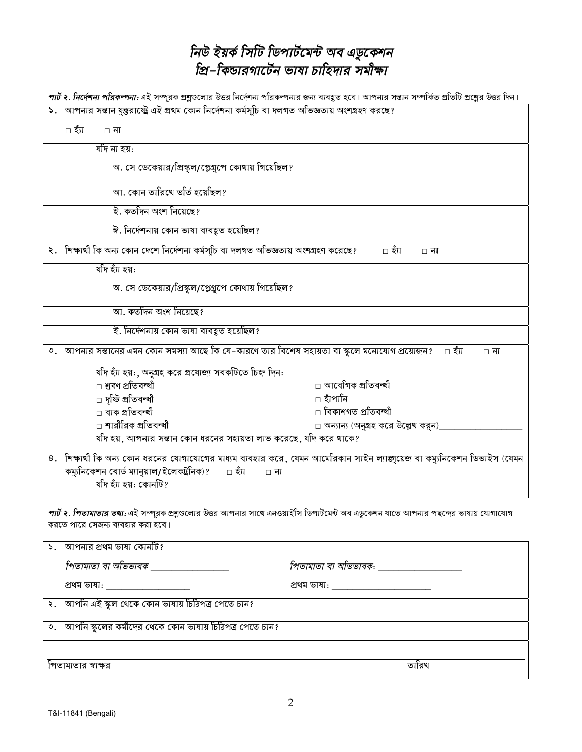## নিউ ইয়র্ক সিটি ডিপার্টমেন্ট অব এডুকেশন<br>প্রি–কিন্ডারগার্টেন ভাষা চাহিদার সমীক্ষা

|                                                                                                             | <u>পার্ট ২<i>. নির্দেশনা পরিকন্পনা্</i>: এই সম্পূরক প্রশ</u> ্বুওলোর উত্তর নির্দেশনা পরিকল্পনার জন্য ব্যবহৃত হবে। আপনার সভান সম্পর্কিত প্রতিটি প্রশ্নের উত্তর দিন। |  |  |
|-------------------------------------------------------------------------------------------------------------|--------------------------------------------------------------------------------------------------------------------------------------------------------------------|--|--|
| ১. আপনার সন্তান যুক্তরাষ্ট্রে এই প্রথম কোন নির্দেশনা কর্মসূচি বা দলগত অভিজ্ঞতায় অংশগ্রহণ করছে?             |                                                                                                                                                                    |  |  |
| ∟ হঁπ<br>$\Box$ না                                                                                          |                                                                                                                                                                    |  |  |
| ৰ্যাদ না হয়:                                                                                               |                                                                                                                                                                    |  |  |
| অ. সে ডেকেয়ার/প্রিস্কুল/প্লেগ্রুপে কোথায় গিয়েছিল?                                                        |                                                                                                                                                                    |  |  |
| আ. কোন তারিখে ভর্তি হয়েছিল?                                                                                |                                                                                                                                                                    |  |  |
| ই. কর্তাদন অংশ নিয়েছে?                                                                                     |                                                                                                                                                                    |  |  |
| ঈ. নির্দেশনায় কোন ভাষা ব্যবহুত হয়েছিল?                                                                    |                                                                                                                                                                    |  |  |
| ২. শিক্ষার্থী কি অন্য কোন দেশে নির্দেশনা কর্মসূচি বা দলগত অভিজ্ঞতায় অংশগ্রহণ করেছে?<br>⊡ হাঁ⊺<br>$\Box$ না |                                                                                                                                                                    |  |  |
| र्याप रुँग रुग्न:                                                                                           |                                                                                                                                                                    |  |  |
| অ. সে ডেকেয়ার/প্রিস্কুল/প্লেগ্রুপে কোথায় গিয়েছিল?                                                        |                                                                                                                                                                    |  |  |
| আ. কতদিন অংশ নিয়েছে?                                                                                       |                                                                                                                                                                    |  |  |
| ই. নিৰ্দেশনায় কোন ভাষা ব্যবহূত হয়েছিল?                                                                    |                                                                                                                                                                    |  |  |
| ৩.   আপনার সম্ভানের এমন কোন সমস্যা আছে কি যে–কারণে তার বিশেষ সহায়তা বা স্কুলে মনোযোগ প্রয়োজন?             | ⊡ হঁ্য<br>□ না                                                                                                                                                     |  |  |
| যদি হ্যা হয়: অনুগ্ৰহ করে প্রযোজ্য সবকটিতে চিহ্ন দিন:                                                       |                                                                                                                                                                    |  |  |
| □ শ্ৰবণ প্ৰতিবন্ধী                                                                                          | □ আবেগিক প্ৰতিবন্ধী                                                                                                                                                |  |  |
| □ দৃষ্টি প্ৰতিবন্ধী                                                                                         | ⊡ হাঁপানি                                                                                                                                                          |  |  |
| □ বাক প্ৰতিবন্ধী                                                                                            | □ বিকাশগত প্ৰতিবন্ধী                                                                                                                                               |  |  |
| □ শারীরিক প্রতিবন্ধী                                                                                        | $\Box$ অন্যান্য (অনুগ্রহ করে উল্লেখ করুন)                                                                                                                          |  |  |
| যদি হয়, আপনার সম্ভান কোন ধরনের সহায়তা লাভ করেছে, যদি করে থাকে?                                            |                                                                                                                                                                    |  |  |
|                                                                                                             | ৪. শিক্ষাথী কি অন্য কোন ধরনের যোগাযোগের মাধ্যম ব্যবহার করে, যেমন আমেরিকান সাইন ল্যাজ্জুয়েজ বা কম্যুনিকেশন ডিভাইস (যেমন                                            |  |  |
| কম্যুনিকেশন বোর্ড ম্যানুয়াল/ইলেকট্রনিক)?<br>⊡ হঁ্য<br>□ না                                                 |                                                                                                                                                                    |  |  |
| যদি হ্যাঁ হয়: কোনটি?                                                                                       |                                                                                                                                                                    |  |  |
| করতে পারে সেজন্য ব্যবহার করা হবে।                                                                           | <i>পার্ট ২. পিতামাতার তথ্য:</i> এই সম্পূরক প্রশ্নুণ্ডলোর উত্তর আপনার সাথে এনওয়াইসি ডিপার্টমেন্ট অব এডুকেশন যাতে আপনার পছন্দের ভাষায় যোগাযোগ                      |  |  |
| $\mathsf{S}$ . আপনার প্রথম ভাষা কোনটি?                                                                      |                                                                                                                                                                    |  |  |
| <u>fore is that at whom tax</u>                                                                             | $\frac{1}{2}$                                                                                                                                                      |  |  |

পিতামাতা বা অভিভাবক \_\_\_\_\_\_\_\_\_\_\_\_\_\_\_\_ <u>।পতামাতা বা আভভাবক: \_\_\_\_\_\_\_\_\_\_</u> প্ৰথম ভাষা: \_\_\_\_\_\_\_\_\_\_\_\_\_\_\_\_\_\_\_ প্ৰথম ভাষা: \_\_\_\_\_\_\_\_\_\_\_\_\_\_\_\_\_\_\_\_\_ ২. আপনি এই স্কুল থেকে কোন ভাষায় চিঠিপত্র পেতে চান? ৩. আর্পনি স্কুলের কর্মীদের থেকে কোন ভাষায় চিঠিপত্র পেতে চান? পিতামাতার স্বাক্ষর তারিখ